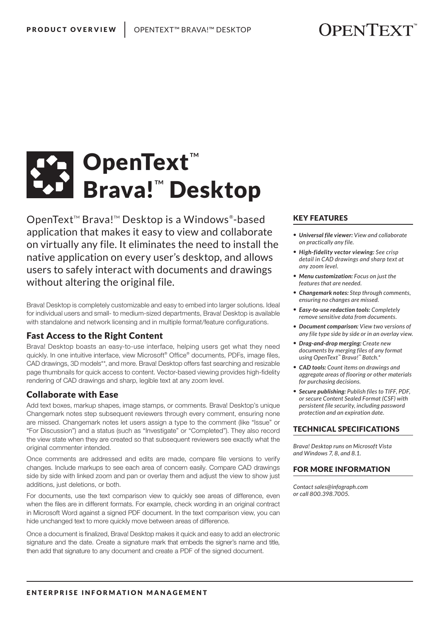# )PENTEXT

# OpenText<sup>™</sup> Brava!™ Desktop

OpenText™ Brava!™ Desktop is a Windows®-based application that makes it easy to view and collaborate on virtually any file. It eliminates the need to install the native application on every user's desktop, and allows users to safely interact with documents and drawings without altering the original file.

Brava! Desktop is completely customizable and easy to embed into larger solutions. Ideal for individual users and small- to medium-sized departments, Brava! Desktop is available with standalone and network licensing and in multiple format/feature configurations.

## Fast Access to the Right Content

Brava! Desktop boasts an easy-to-use interface, helping users get what they need quickly. In one intuitive interface, view Microsoft® Office® documents, PDFs, image files, CAD drawings, 3D models\*\*, and more. Brava! Desktop offers fast searching and resizable page thumbnails for quick access to content. Vector-based viewing provides high-fidelity rendering of CAD drawings and sharp, legible text at any zoom level.

## Collaborate with Ease

Add text boxes, markup shapes, image stamps, or comments. Brava! Desktop's unique Changemark notes step subsequent reviewers through every comment, ensuring none are missed. Changemark notes let users assign a type to the comment (like "Issue" or "For Discussion") and a status (such as "Investigate" or "Completed"). They also record the view state when they are created so that subsequent reviewers see exactly what the original commenter intended.

Once comments are addressed and edits are made, compare file versions to verify changes. Include markups to see each area of concern easily. Compare CAD drawings side by side with linked zoom and pan or overlay them and adjust the view to show just additions, just deletions, or both.

For documents, use the text comparison view to quickly see areas of difference, even when the files are in different formats. For example, check wording in an original contract in Microsoft Word against a signed PDF document. In the text comparison view, you can hide unchanged text to more quickly move between areas of difference.

Once a document is finalized, Brava! Desktop makes it quick and easy to add an electronic signature and the date. Create a signature mark that embeds the signer's name and title, then add that signature to any document and create a PDF of the signed document.

### KEY FEATURES

- *• Universal file viewer: View and collaborate on practically any file.*
- *• High-fidelity vector viewing: See crisp detail in CAD drawings and sharp text at any zoom level.*
- *• Menu customization: Focus on just the features that are needed.*
- *• Changemark notes: Step through comments, ensuring no changes are missed.*
- *• Easy-to-use redaction tools: Completely remove sensitive data from documents.*
- *• Document comparison: View two versions of any file type side by side or in an overlay view.*
- *• Drag-and-drop merging: Create new documents by merging files of any format using OpenText™ Brava!™ Batch.\**
- *• CAD tools: Count items on drawings and aggregate areas of flooring or other materials for purchasing decisions.*
- *• Secure publishing: Publish files to TIFF, PDF, or secure Content Sealed Format (CSF) with persistent file security, including password protection and an expiration date.*

#### TECHNICAL SPECIFICATIONS

*Brava! Desktop runs on Microsoft Vista and Windows 7, 8, and 8.1.*

#### FOR MORE INFORMATION

*Contact sales@infograph.com or call 800.398.7005.*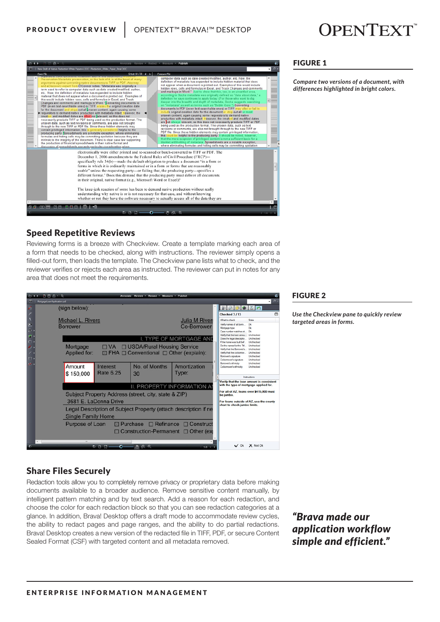# PRODUCT OVERVIEW | OPENTEXT™ BRAVA!™ DESKTOP

# **OPENTEXT**

*Compare two versions of a document, with differences highlighted in bright colors.*



# Speed Repetitive Reviews

Reviewing forms is a breeze with Checkview. Create a template marking each area of a form that needs to be checked, along with instructions. The reviewer simply opens a filled-out form, then loads the template. The Checkview pane lists what to check, and the reviewer verifies or rejects each area as instructed. The reviewer can put in notes for any area that does not meet the requirements.

| $D + F$ | 自閉合・支                                                                                                                                                                                                           |                                                                                                          | Annotate Review - Redact - Measure - Publish |                       |                                                                                                                                                                                                                                                                                                                           |                                                                                                                                  |  |
|---------|-----------------------------------------------------------------------------------------------------------------------------------------------------------------------------------------------------------------|----------------------------------------------------------------------------------------------------------|----------------------------------------------|-----------------------|---------------------------------------------------------------------------------------------------------------------------------------------------------------------------------------------------------------------------------------------------------------------------------------------------------------------------|----------------------------------------------------------------------------------------------------------------------------------|--|
| $\Box$  | MotoageLoanApplication.pdf                                                                                                                                                                                      |                                                                                                          |                                              |                       |                                                                                                                                                                                                                                                                                                                           | $\cdot$ $\circ$ .                                                                                                                |  |
| ō       | (sign below):                                                                                                                                                                                                   |                                                                                                          |                                              |                       | $141$ 0                                                                                                                                                                                                                                                                                                                   |                                                                                                                                  |  |
|         |                                                                                                                                                                                                                 |                                                                                                          |                                              |                       | Checked 3/13                                                                                                                                                                                                                                                                                                              | ඔ                                                                                                                                |  |
|         | Michael L. Rivers                                                                                                                                                                                               |                                                                                                          |                                              | <b>Julia M River:</b> | What to check                                                                                                                                                                                                                                                                                                             | <b>State</b>                                                                                                                     |  |
| 四心      | <b>Borrower</b>                                                                                                                                                                                                 |                                                                                                          | Co-Borrower                                  |                       | Ck<br>Verfy names of all borro<br>Motosge type<br>Ok<br>Case number matches of Ok                                                                                                                                                                                                                                         |                                                                                                                                  |  |
| ø       |                                                                                                                                                                                                                 |                                                                                                          |                                              | TYPE OF MORTGAGE AND  | Verify that the loan amou Unchecked<br>Does the legal descriptio Unchecked<br>If the home was built bef Unchecked<br>Do the names for the Titl Unchecked<br>Verfy that the Borrower's Unchecked<br>Verfy that the co-borrow Unchecked<br>Unchecked<br>Borrower's signature<br>Co-borrower's signature<br><b>Unchecked</b> |                                                                                                                                  |  |
| sk.     | Mortgage<br>Applied for:                                                                                                                                                                                        | □ USDA/Rural Housing Service<br>$\Box$ VA<br>$\boxtimes$ FHA $\Box$ Conventional $\Box$ Other (explain): |                                              |                       |                                                                                                                                                                                                                                                                                                                           |                                                                                                                                  |  |
|         | Amount<br>\$150,000                                                                                                                                                                                             | Interest<br><b>Rate 6.25</b>                                                                             | No. of Months<br>30                          | Amortization<br>Type: | Borrower's ethnicity<br>Co-borrower's ethnicity                                                                                                                                                                                                                                                                           | Unchecked<br>Unchecked                                                                                                           |  |
|         |                                                                                                                                                                                                                 |                                                                                                          |                                              |                       | Instructions                                                                                                                                                                                                                                                                                                              |                                                                                                                                  |  |
|         | <b>II. PROPERTY INFORMATION A</b>                                                                                                                                                                               |                                                                                                          |                                              |                       | Verify that the loan amount is consistent<br>with the type of mortgage applied for.                                                                                                                                                                                                                                       |                                                                                                                                  |  |
|         |                                                                                                                                                                                                                 | Subject Property Address (street, city, state & ZIP)<br>3681 E. LaDonna Drive                            |                                              |                       |                                                                                                                                                                                                                                                                                                                           | For all of AZ, loans over \$415,000 must<br>be jumbo.<br>For loans outside of AZ, use the county<br>chart to check jumbo limits. |  |
|         |                                                                                                                                                                                                                 |                                                                                                          |                                              |                       |                                                                                                                                                                                                                                                                                                                           |                                                                                                                                  |  |
|         | Legal Description of Subject Property (attach description if ne<br><b>Single Family Home</b><br>⊠ Purchase □ Refinance □ Construct<br><b>Purpose of Loan</b><br>$\Box$ Construction-Permanent $\Box$ Other (ex) |                                                                                                          |                                              |                       |                                                                                                                                                                                                                                                                                                                           |                                                                                                                                  |  |
|         |                                                                                                                                                                                                                 |                                                                                                          |                                              |                       |                                                                                                                                                                                                                                                                                                                           |                                                                                                                                  |  |
|         |                                                                                                                                                                                                                 |                                                                                                          |                                              |                       |                                                                                                                                                                                                                                                                                                                           |                                                                                                                                  |  |
|         | $\epsilon$                                                                                                                                                                                                      | $\bullet$                                                                                                |                                              |                       | $\sim$ $\alpha$                                                                                                                                                                                                                                                                                                           | X Not Ok                                                                                                                         |  |
|         |                                                                                                                                                                                                                 | $\circ$<br>n                                                                                             | 2000                                         | $4.1/8 - 1$           |                                                                                                                                                                                                                                                                                                                           |                                                                                                                                  |  |

### FIGURE 2

FIGURE 1

*Use the Checkview pane to quickly review targeted areas in forms.*

## Share Files Securely

Redaction tools allow you to completely remove privacy or proprietary data before making documents available to a broader audience. Remove sensitive content manually, by intelligent pattern matching and by text search. Add a reason for each redaction, and choose the color for each redaction block so that you can see redaction categories at a glance. In addition, Brava! Desktop offers a draft mode to accommodate review cycles, the ability to redact pages and page ranges, and the ability to do partial redactions. Brava! Desktop creates a new version of the redacted file in TIFF, PDF, or secure Content Sealed Format (CSF) with targeted content and all metadata removed.

*"Brava made our application workflow simple and efficient."*